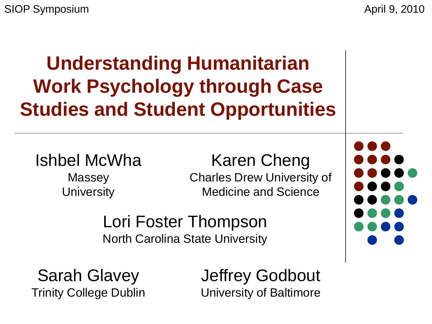SIOP Symposium April 9, 2010

**Understanding Humanitarian Work Psychology through Case Studies and Student Opportunities** 

#### Ishbel McWha

Massey **University** 

#### Karen Cheng

Charles Drew University of Medicine and Science

Lori Foster Thompson North Carolina State University

Sarah Glavey Trinity College Dublin Jeffrey Godbout University of Baltimore

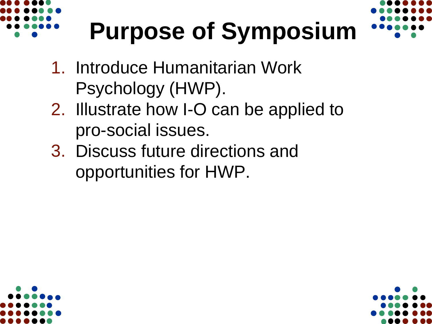

# **Purpose of Symposium**

- 1. Introduce Humanitarian Work Psychology (HWP).
- 2. Illustrate how I-O can be applied to pro-social issues.
- 3. Discuss future directions and opportunities for HWP.



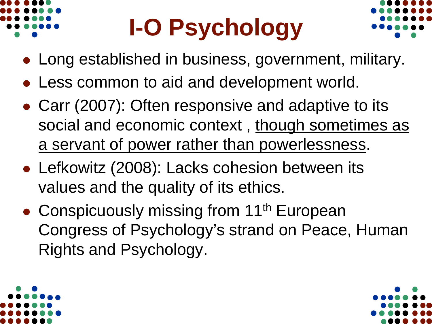

# **I-O Psychology**



- Long established in business, government, military.
- Less common to aid and development world.
- Carr (2007): Often responsive and adaptive to its social and economic context, though sometimes as a servant of power rather than powerlessness.
- Lefkowitz (2008): Lacks cohesion between its values and the quality of its ethics.
- Conspicuously missing from 11<sup>th</sup> European Congress of Psychology's strand on Peace, Human Rights and Psychology.

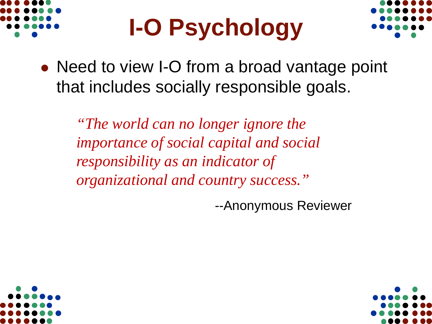

## **I-O Psychology**



• Need to view I-O from a broad vantage point that includes socially responsible goals.

*"The world can no longer ignore the importance of social capital and social responsibility as an indicator of organizational and country success."*

--Anonymous Reviewer



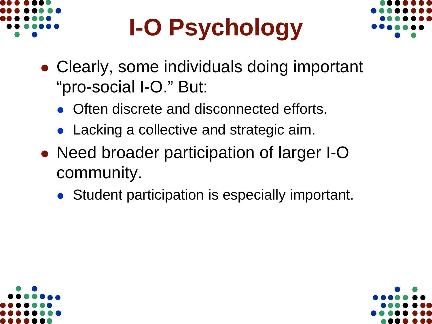

# **I-O Psychology**



- Clearly, some individuals doing important "pro-social I-O." But:
	- Often discrete and disconnected efforts.
	- Lacking a collective and strategic aim.
- Need broader participation of larger I-O community.
	- Student participation is especially important.



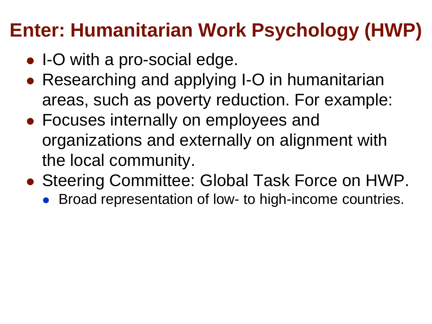#### **Enter: Humanitarian Work Psychology (HWP)**

- I-O with a pro-social edge.
- Researching and applying I-O in humanitarian areas, such as poverty reduction. For example:
- Focuses internally on employees and organizations and externally on alignment with the local community.
- Steering Committee: Global Task Force on HWP.
	- Broad representation of low- to high-income countries.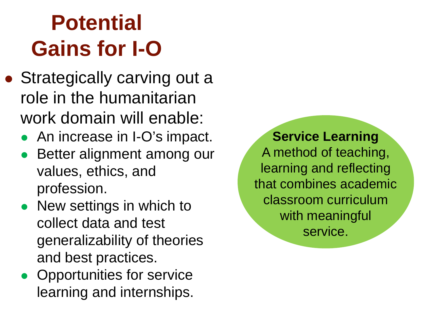## **Potential Gains for I-O**

- Strategically carving out a role in the humanitarian work domain will enable:
	- An increase in I-O's impact.
	- Better alignment among our values, ethics, and profession.
	- New settings in which to collect data and test generalizability of theories and best practices.
	- Opportunities for service learning and internships.

**Service Learning** A method of teaching, learning and reflecting that combines academic classroom curriculum with meaningful service.